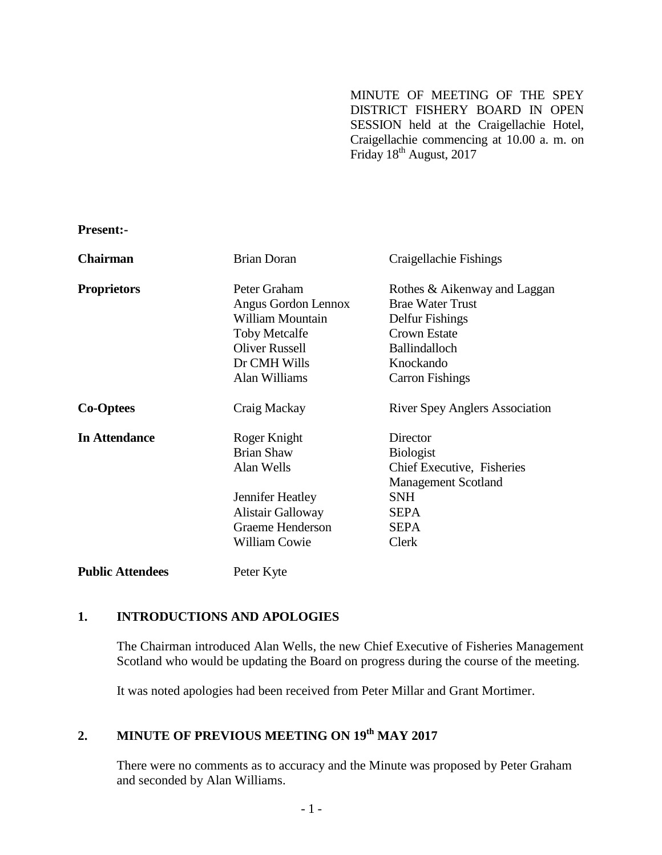MINUTE OF MEETING OF THE SPEY DISTRICT FISHERY BOARD IN OPEN SESSION held at the Craigellachie Hotel, Craigellachie commencing at 10.00 a. m. on Friday 18<sup>th</sup> August, 2017

**Present:-**

| <b>Chairman</b>         | <b>Brian Doran</b>       | Craigellachie Fishings                |
|-------------------------|--------------------------|---------------------------------------|
| <b>Proprietors</b>      | Peter Graham             | Rothes & Aikenway and Laggan          |
|                         | Angus Gordon Lennox      | <b>Brae Water Trust</b>               |
|                         | William Mountain         | Delfur Fishings                       |
|                         | <b>Toby Metcalfe</b>     | <b>Crown Estate</b>                   |
|                         | <b>Oliver Russell</b>    | <b>Ballindalloch</b>                  |
|                         | Dr CMH Wills             | Knockando                             |
|                         | Alan Williams            | <b>Carron Fishings</b>                |
| <b>Co-Optees</b>        | Craig Mackay             | <b>River Spey Anglers Association</b> |
| <b>In Attendance</b>    | Roger Knight             | Director                              |
|                         | <b>Brian Shaw</b>        | <b>Biologist</b>                      |
|                         | Alan Wells               | Chief Executive, Fisheries            |
|                         |                          | <b>Management Scotland</b>            |
|                         | Jennifer Heatley         | <b>SNH</b>                            |
|                         | <b>Alistair Galloway</b> | SEPA                                  |
|                         | Graeme Henderson         | <b>SEPA</b>                           |
|                         | William Cowie            | Clerk                                 |
| <b>Public Attendees</b> | Peter Kyte               |                                       |

## **1. INTRODUCTIONS AND APOLOGIES**

The Chairman introduced Alan Wells, the new Chief Executive of Fisheries Management Scotland who would be updating the Board on progress during the course of the meeting.

It was noted apologies had been received from Peter Millar and Grant Mortimer.

# **2. MINUTE OF PREVIOUS MEETING ON 19 th MAY 2017**

There were no comments as to accuracy and the Minute was proposed by Peter Graham and seconded by Alan Williams.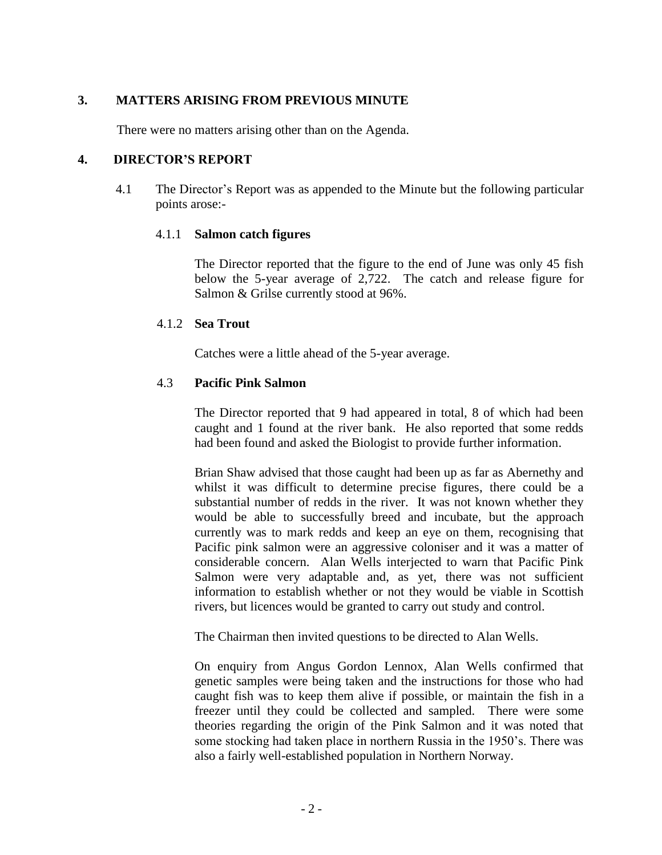## **3. MATTERS ARISING FROM PREVIOUS MINUTE**

There were no matters arising other than on the Agenda.

#### **4. DIRECTOR'S REPORT**

4.1 The Director's Report was as appended to the Minute but the following particular points arose:-

#### 4.1.1 **Salmon catch figures**

The Director reported that the figure to the end of June was only 45 fish below the 5-year average of 2,722. The catch and release figure for Salmon & Grilse currently stood at 96%.

#### 4.1.2 **Sea Trout**

Catches were a little ahead of the 5-year average.

## 4.3 **Pacific Pink Salmon**

The Director reported that 9 had appeared in total, 8 of which had been caught and 1 found at the river bank. He also reported that some redds had been found and asked the Biologist to provide further information.

Brian Shaw advised that those caught had been up as far as Abernethy and whilst it was difficult to determine precise figures, there could be a substantial number of redds in the river. It was not known whether they would be able to successfully breed and incubate, but the approach currently was to mark redds and keep an eye on them, recognising that Pacific pink salmon were an aggressive coloniser and it was a matter of considerable concern. Alan Wells interjected to warn that Pacific Pink Salmon were very adaptable and, as yet, there was not sufficient information to establish whether or not they would be viable in Scottish rivers, but licences would be granted to carry out study and control.

The Chairman then invited questions to be directed to Alan Wells.

On enquiry from Angus Gordon Lennox, Alan Wells confirmed that genetic samples were being taken and the instructions for those who had caught fish was to keep them alive if possible, or maintain the fish in a freezer until they could be collected and sampled. There were some theories regarding the origin of the Pink Salmon and it was noted that some stocking had taken place in northern Russia in the 1950's. There was also a fairly well-established population in Northern Norway.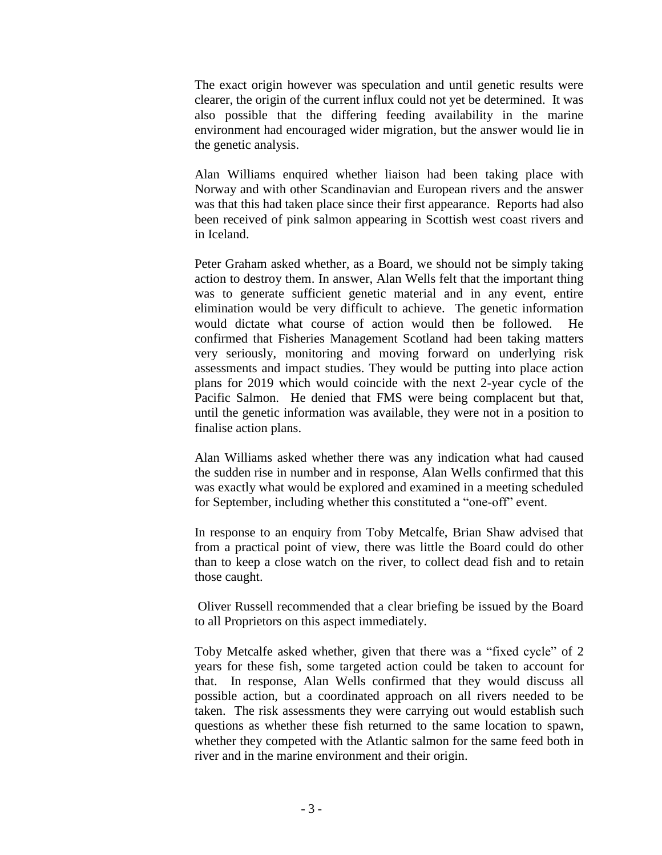The exact origin however was speculation and until genetic results were clearer, the origin of the current influx could not yet be determined. It was also possible that the differing feeding availability in the marine environment had encouraged wider migration, but the answer would lie in the genetic analysis.

Alan Williams enquired whether liaison had been taking place with Norway and with other Scandinavian and European rivers and the answer was that this had taken place since their first appearance. Reports had also been received of pink salmon appearing in Scottish west coast rivers and in Iceland.

Peter Graham asked whether, as a Board, we should not be simply taking action to destroy them. In answer, Alan Wells felt that the important thing was to generate sufficient genetic material and in any event, entire elimination would be very difficult to achieve. The genetic information would dictate what course of action would then be followed. He confirmed that Fisheries Management Scotland had been taking matters very seriously, monitoring and moving forward on underlying risk assessments and impact studies. They would be putting into place action plans for 2019 which would coincide with the next 2-year cycle of the Pacific Salmon. He denied that FMS were being complacent but that, until the genetic information was available, they were not in a position to finalise action plans.

Alan Williams asked whether there was any indication what had caused the sudden rise in number and in response, Alan Wells confirmed that this was exactly what would be explored and examined in a meeting scheduled for September, including whether this constituted a "one-off" event.

In response to an enquiry from Toby Metcalfe, Brian Shaw advised that from a practical point of view, there was little the Board could do other than to keep a close watch on the river, to collect dead fish and to retain those caught.

Oliver Russell recommended that a clear briefing be issued by the Board to all Proprietors on this aspect immediately.

Toby Metcalfe asked whether, given that there was a "fixed cycle" of 2 years for these fish, some targeted action could be taken to account for that. In response, Alan Wells confirmed that they would discuss all possible action, but a coordinated approach on all rivers needed to be taken. The risk assessments they were carrying out would establish such questions as whether these fish returned to the same location to spawn, whether they competed with the Atlantic salmon for the same feed both in river and in the marine environment and their origin.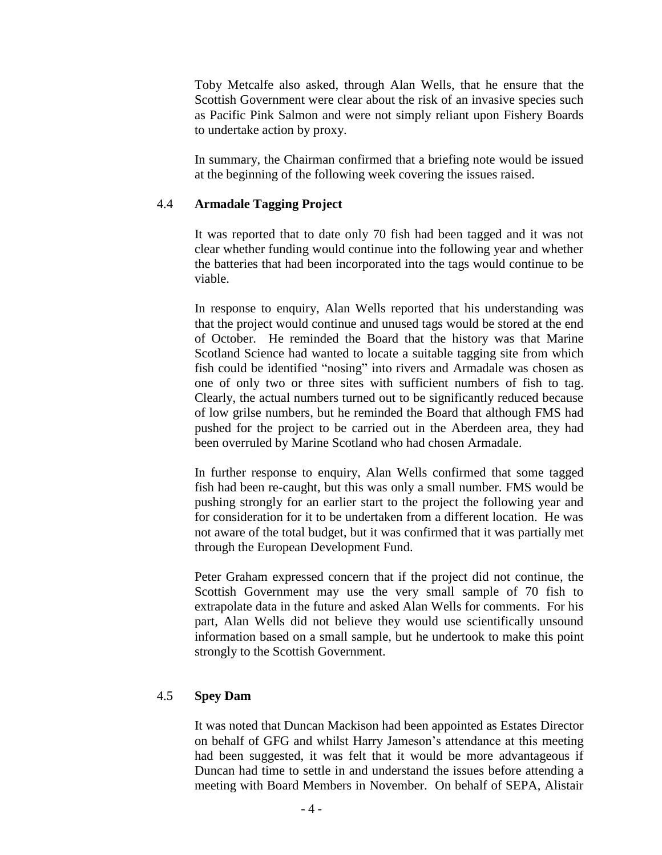Toby Metcalfe also asked, through Alan Wells, that he ensure that the Scottish Government were clear about the risk of an invasive species such as Pacific Pink Salmon and were not simply reliant upon Fishery Boards to undertake action by proxy.

In summary, the Chairman confirmed that a briefing note would be issued at the beginning of the following week covering the issues raised.

### 4.4 **Armadale Tagging Project**

It was reported that to date only 70 fish had been tagged and it was not clear whether funding would continue into the following year and whether the batteries that had been incorporated into the tags would continue to be viable.

In response to enquiry, Alan Wells reported that his understanding was that the project would continue and unused tags would be stored at the end of October. He reminded the Board that the history was that Marine Scotland Science had wanted to locate a suitable tagging site from which fish could be identified "nosing" into rivers and Armadale was chosen as one of only two or three sites with sufficient numbers of fish to tag. Clearly, the actual numbers turned out to be significantly reduced because of low grilse numbers, but he reminded the Board that although FMS had pushed for the project to be carried out in the Aberdeen area, they had been overruled by Marine Scotland who had chosen Armadale.

In further response to enquiry, Alan Wells confirmed that some tagged fish had been re-caught, but this was only a small number. FMS would be pushing strongly for an earlier start to the project the following year and for consideration for it to be undertaken from a different location. He was not aware of the total budget, but it was confirmed that it was partially met through the European Development Fund.

Peter Graham expressed concern that if the project did not continue, the Scottish Government may use the very small sample of 70 fish to extrapolate data in the future and asked Alan Wells for comments. For his part, Alan Wells did not believe they would use scientifically unsound information based on a small sample, but he undertook to make this point strongly to the Scottish Government.

## 4.5 **Spey Dam**

It was noted that Duncan Mackison had been appointed as Estates Director on behalf of GFG and whilst Harry Jameson's attendance at this meeting had been suggested, it was felt that it would be more advantageous if Duncan had time to settle in and understand the issues before attending a meeting with Board Members in November. On behalf of SEPA, Alistair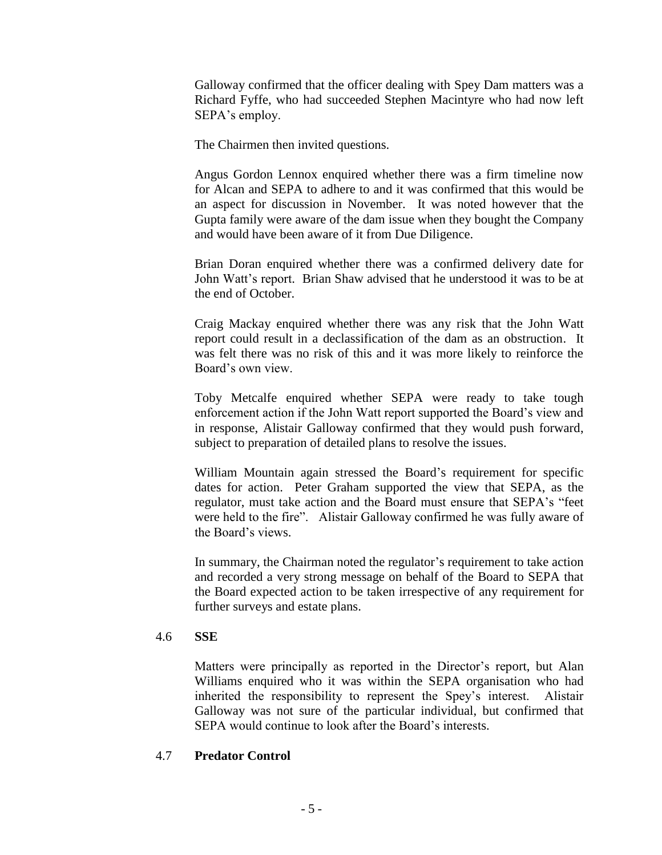Galloway confirmed that the officer dealing with Spey Dam matters was a Richard Fyffe, who had succeeded Stephen Macintyre who had now left SEPA's employ.

The Chairmen then invited questions.

Angus Gordon Lennox enquired whether there was a firm timeline now for Alcan and SEPA to adhere to and it was confirmed that this would be an aspect for discussion in November. It was noted however that the Gupta family were aware of the dam issue when they bought the Company and would have been aware of it from Due Diligence.

Brian Doran enquired whether there was a confirmed delivery date for John Watt's report. Brian Shaw advised that he understood it was to be at the end of October.

Craig Mackay enquired whether there was any risk that the John Watt report could result in a declassification of the dam as an obstruction. It was felt there was no risk of this and it was more likely to reinforce the Board's own view.

Toby Metcalfe enquired whether SEPA were ready to take tough enforcement action if the John Watt report supported the Board's view and in response, Alistair Galloway confirmed that they would push forward, subject to preparation of detailed plans to resolve the issues.

William Mountain again stressed the Board's requirement for specific dates for action. Peter Graham supported the view that SEPA, as the regulator, must take action and the Board must ensure that SEPA's "feet were held to the fire". Alistair Galloway confirmed he was fully aware of the Board's views.

In summary, the Chairman noted the regulator's requirement to take action and recorded a very strong message on behalf of the Board to SEPA that the Board expected action to be taken irrespective of any requirement for further surveys and estate plans.

## 4.6 **SSE**

Matters were principally as reported in the Director's report, but Alan Williams enquired who it was within the SEPA organisation who had inherited the responsibility to represent the Spey's interest. Alistair Galloway was not sure of the particular individual, but confirmed that SEPA would continue to look after the Board's interests.

## 4.7 **Predator Control**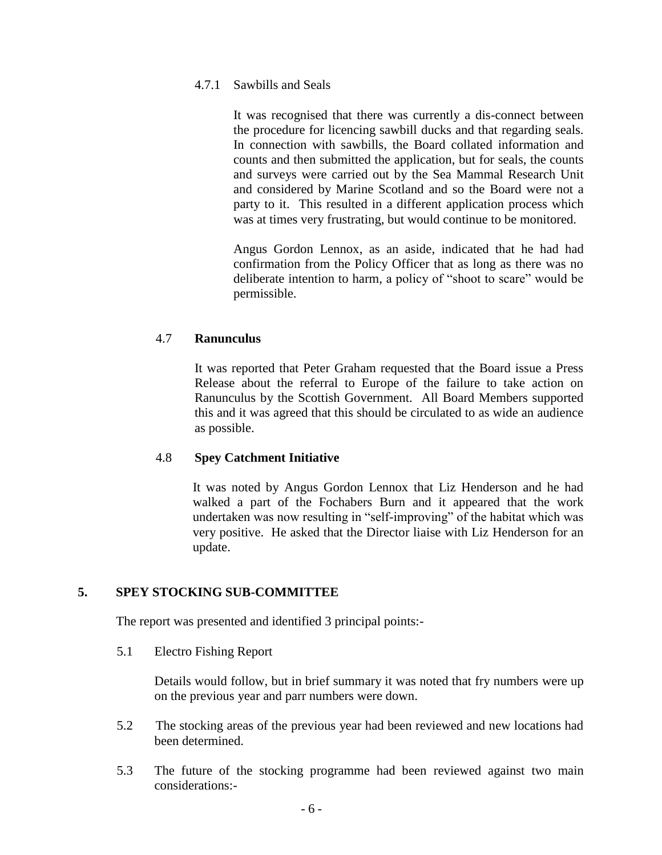#### 4.7.1 Sawbills and Seals

It was recognised that there was currently a dis-connect between the procedure for licencing sawbill ducks and that regarding seals. In connection with sawbills, the Board collated information and counts and then submitted the application, but for seals, the counts and surveys were carried out by the Sea Mammal Research Unit and considered by Marine Scotland and so the Board were not a party to it. This resulted in a different application process which was at times very frustrating, but would continue to be monitored.

Angus Gordon Lennox, as an aside, indicated that he had had confirmation from the Policy Officer that as long as there was no deliberate intention to harm, a policy of "shoot to scare" would be permissible.

## 4.7 **Ranunculus**

It was reported that Peter Graham requested that the Board issue a Press Release about the referral to Europe of the failure to take action on Ranunculus by the Scottish Government. All Board Members supported this and it was agreed that this should be circulated to as wide an audience as possible.

#### 4.8 **Spey Catchment Initiative**

It was noted by Angus Gordon Lennox that Liz Henderson and he had walked a part of the Fochabers Burn and it appeared that the work undertaken was now resulting in "self-improving" of the habitat which was very positive. He asked that the Director liaise with Liz Henderson for an update.

## **5. SPEY STOCKING SUB-COMMITTEE**

The report was presented and identified 3 principal points:-

#### 5.1 Electro Fishing Report

Details would follow, but in brief summary it was noted that fry numbers were up on the previous year and parr numbers were down.

- 5.2 The stocking areas of the previous year had been reviewed and new locations had been determined.
- 5.3 The future of the stocking programme had been reviewed against two main considerations:-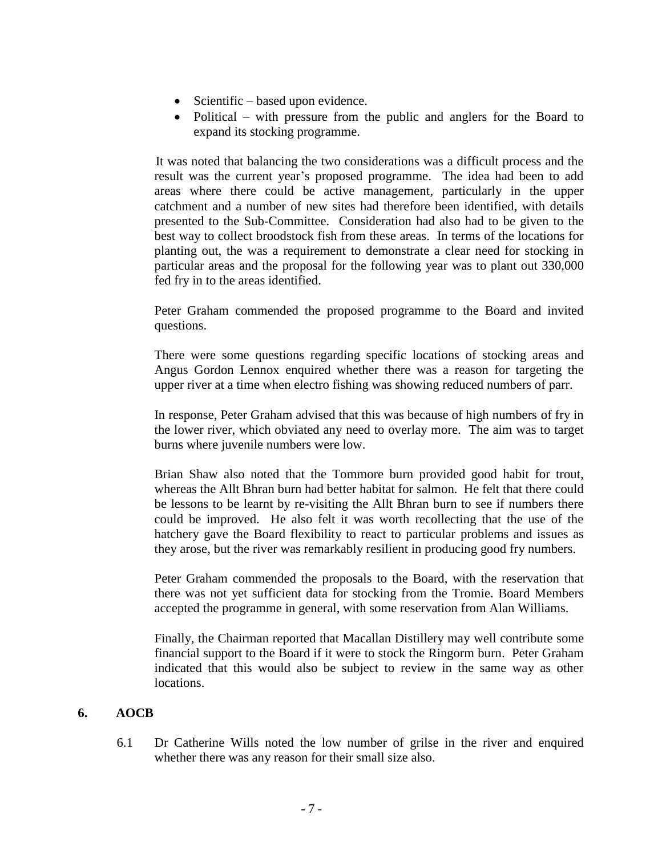- Scientific based upon evidence.
- Political with pressure from the public and anglers for the Board to expand its stocking programme.

It was noted that balancing the two considerations was a difficult process and the result was the current year's proposed programme. The idea had been to add areas where there could be active management, particularly in the upper catchment and a number of new sites had therefore been identified, with details presented to the Sub-Committee. Consideration had also had to be given to the best way to collect broodstock fish from these areas. In terms of the locations for planting out, the was a requirement to demonstrate a clear need for stocking in particular areas and the proposal for the following year was to plant out 330,000 fed fry in to the areas identified.

Peter Graham commended the proposed programme to the Board and invited questions.

There were some questions regarding specific locations of stocking areas and Angus Gordon Lennox enquired whether there was a reason for targeting the upper river at a time when electro fishing was showing reduced numbers of parr.

In response, Peter Graham advised that this was because of high numbers of fry in the lower river, which obviated any need to overlay more. The aim was to target burns where juvenile numbers were low.

Brian Shaw also noted that the Tommore burn provided good habit for trout, whereas the Allt Bhran burn had better habitat for salmon. He felt that there could be lessons to be learnt by re-visiting the Allt Bhran burn to see if numbers there could be improved. He also felt it was worth recollecting that the use of the hatchery gave the Board flexibility to react to particular problems and issues as they arose, but the river was remarkably resilient in producing good fry numbers.

Peter Graham commended the proposals to the Board, with the reservation that there was not yet sufficient data for stocking from the Tromie. Board Members accepted the programme in general, with some reservation from Alan Williams.

Finally, the Chairman reported that Macallan Distillery may well contribute some financial support to the Board if it were to stock the Ringorm burn. Peter Graham indicated that this would also be subject to review in the same way as other locations.

## **6. AOCB**

6.1 Dr Catherine Wills noted the low number of grilse in the river and enquired whether there was any reason for their small size also.